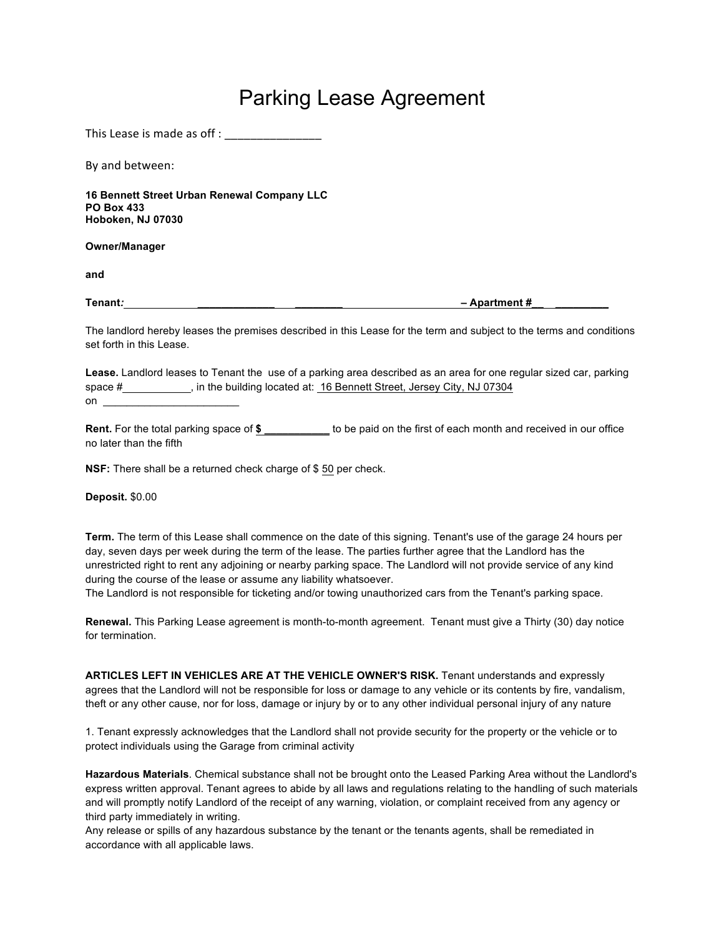## Parking Lease Agreement

This Lease is made as off :

By and between:

**16 Bennett Street Urban Renewal Company LLC PO Box 433 Hoboken, NJ 07030**

**Owner/Manager**

**and**

**Tenant:**  $\blacksquare$  **Apartment #** 

The landlord hereby leases the premises described in this Lease for the term and subject to the terms and conditions set forth in this Lease.

**Lease.** Landlord leases to Tenant the use of a parking area described as an area for one regular sized car, parking space #, in the building located at: 16 Bennett Street, Jersey City, NJ 07304 on \_\_\_\_\_\_\_\_\_\_\_\_\_\_\_\_\_\_\_\_\_\_\_

**Rent.** For the total parking space of **\$ \_\_\_\_\_\_\_\_\_\_\_** to be paid on the first of each month and received in our office no later than the fifth

**NSF:** There shall be a returned check charge of \$ 50 per check.

**Deposit.** \$0.00

**Term.** The term of this Lease shall commence on the date of this signing. Tenant's use of the garage 24 hours per day, seven days per week during the term of the lease. The parties further agree that the Landlord has the unrestricted right to rent any adjoining or nearby parking space. The Landlord will not provide service of any kind during the course of the lease or assume any liability whatsoever.

The Landlord is not responsible for ticketing and/or towing unauthorized cars from the Tenant's parking space.

**Renewal.** This Parking Lease agreement is month-to-month agreement. Tenant must give a Thirty (30) day notice for termination.

**ARTICLES LEFT IN VEHICLES ARE AT THE VEHICLE OWNER'S RISK.** Tenant understands and expressly agrees that the Landlord will not be responsible for loss or damage to any vehicle or its contents by fire, vandalism, theft or any other cause, nor for loss, damage or injury by or to any other individual personal injury of any nature

1. Tenant expressly acknowledges that the Landlord shall not provide security for the property or the vehicle or to protect individuals using the Garage from criminal activity

**Hazardous Materials**. Chemical substance shall not be brought onto the Leased Parking Area without the Landlord's express written approval. Tenant agrees to abide by all laws and regulations relating to the handling of such materials and will promptly notify Landlord of the receipt of any warning, violation, or complaint received from any agency or third party immediately in writing.

Any release or spills of any hazardous substance by the tenant or the tenants agents, shall be remediated in accordance with all applicable laws.